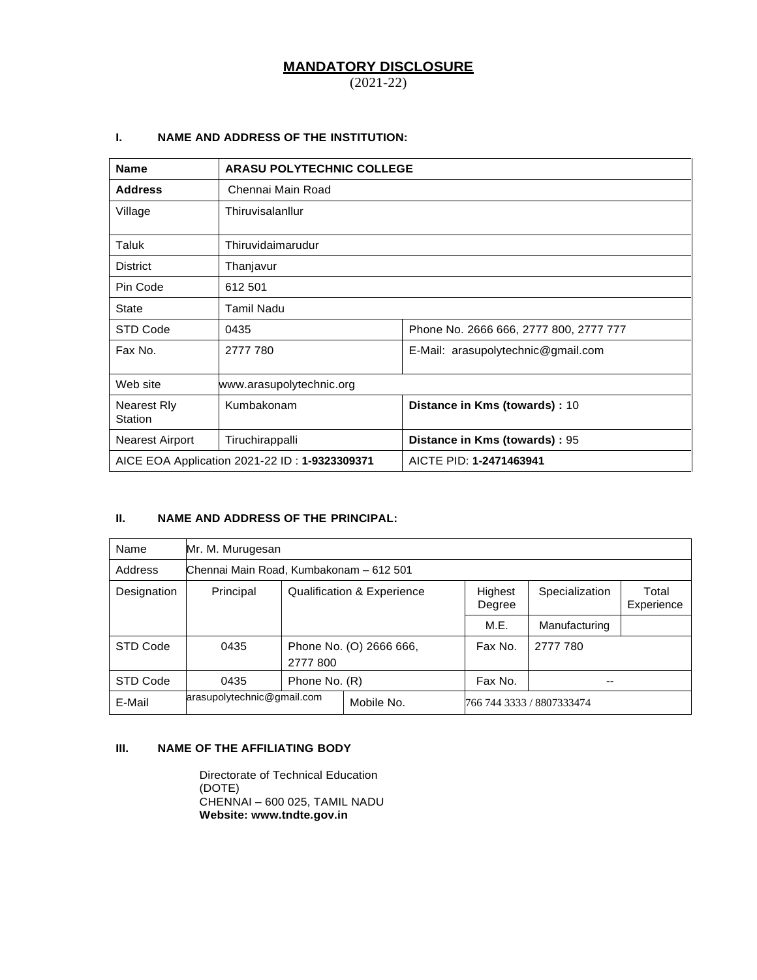# **MANDATORY DISCLOSURE**

(2021-22)

# **I. NAME AND ADDRESS OF THE INSTITUTION:**

| <b>Name</b>                          |                                               | <b>ARASU POLYTECHNIC COLLEGE</b>       |  |  |  |
|--------------------------------------|-----------------------------------------------|----------------------------------------|--|--|--|
| <b>Address</b>                       | Chennai Main Road                             |                                        |  |  |  |
| Village                              | Thiruvisalanllur                              |                                        |  |  |  |
| Taluk                                | Thiruvidaimarudur                             |                                        |  |  |  |
| <b>District</b>                      | Thanjavur                                     |                                        |  |  |  |
| Pin Code                             | 612 501                                       |                                        |  |  |  |
| State                                | Tamil Nadu                                    |                                        |  |  |  |
| STD Code                             | 0435                                          | Phone No. 2666 666, 2777 800, 2777 777 |  |  |  |
| Fax No.                              | 2777 780                                      | E-Mail: arasupolytechnic@gmail.com     |  |  |  |
| Web site                             | www.arasupolytechnic.org                      |                                        |  |  |  |
| <b>Nearest Rly</b><br><b>Station</b> | Kumbakonam                                    | Distance in Kms (towards) : 10         |  |  |  |
| <b>Nearest Airport</b>               | Tiruchirappalli                               | Distance in Kms (towards) : 95         |  |  |  |
|                                      | AICE EOA Application 2021-22 ID: 1-9323309371 | AICTE PID: 1-2471463941                |  |  |  |

# **II. NAME AND ADDRESS OF THE PRINCIPAL:**

| Name        | Mr. M. Murugesan                                                      |                                     |                                       |                   |                |                     |
|-------------|-----------------------------------------------------------------------|-------------------------------------|---------------------------------------|-------------------|----------------|---------------------|
| Address     | Chennai Main Road, Kumbakonam - 612 501                               |                                     |                                       |                   |                |                     |
| Designation | Principal                                                             |                                     | <b>Qualification &amp; Experience</b> | Highest<br>Degree | Specialization | Total<br>Experience |
|             |                                                                       |                                     |                                       | M.E.              | Manufacturing  |                     |
| STD Code    | 0435                                                                  | Phone No. (O) 2666 666,<br>2777 800 |                                       | Fax No.           | 2777 780       |                     |
| STD Code    | 0435                                                                  | Phone No. (R)<br>Fax No.<br>--      |                                       |                   |                |                     |
| E-Mail      | arasupolytechnic@gmail.com<br>Mobile No.<br>766 744 3333 / 8807333474 |                                     |                                       |                   |                |                     |

# **III. NAME OF THE AFFILIATING BODY**

Directorate of Technical Education (DOTE) CHENNAI – 600 025, TAMIL NADU **Website: www.tndte.gov.in**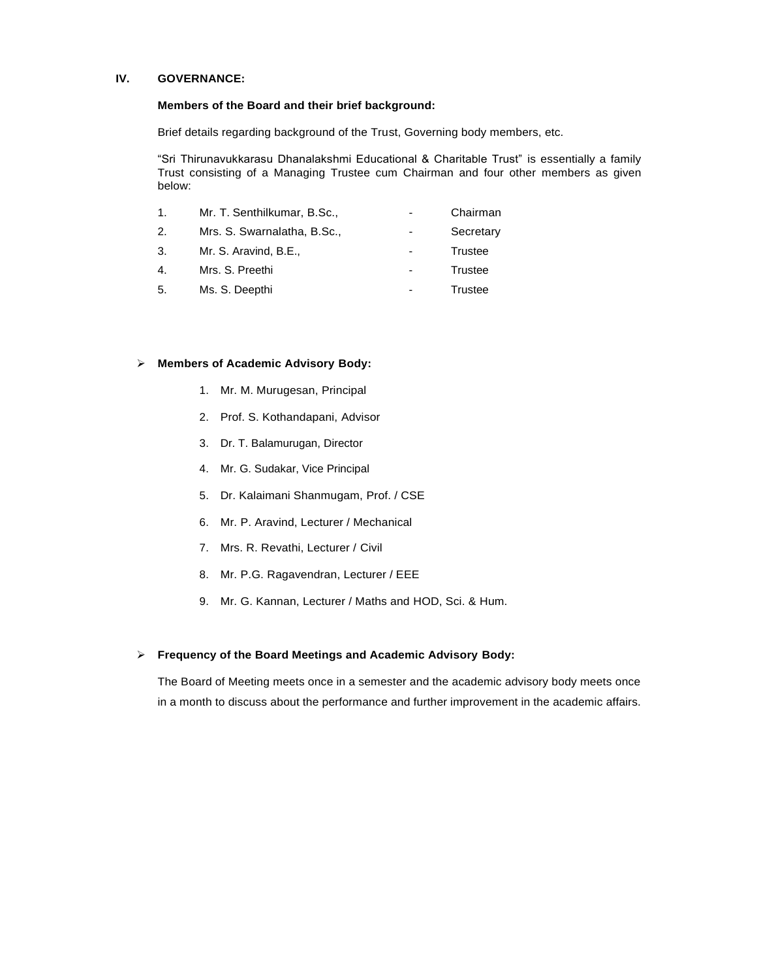### **IV. GOVERNANCE:**

### **Members of the Board and their brief background:**

Brief details regarding background of the Trust, Governing body members, etc.

"Sri Thirunavukkarasu Dhanalakshmi Educational & Charitable Trust" is essentially a family Trust consisting of a Managing Trustee cum Chairman and four other members as given below:

| Mr. T. Senthilkumar, B.Sc., | $\overline{\phantom{0}}$ | Chairman  |
|-----------------------------|--------------------------|-----------|
| Mrs. S. Swarnalatha, B.Sc., | -                        | Secretary |

- 3. Mr. S. Aravind, B.E., Trustee
- 4. Mrs. S. Preethi  **Trustee**
- 5. Ms. S. Deepthi  **Trustee**

#### ➢ **Members of Academic Advisory Body:**

- 1. Mr. M. Murugesan, Principal
- 2. Prof. S. Kothandapani, Advisor
- 3. Dr. T. Balamurugan, Director
- 4. Mr. G. Sudakar, Vice Principal
- 5. Dr. Kalaimani Shanmugam, Prof. / CSE
- 6. Mr. P. Aravind, Lecturer / Mechanical
- 7. Mrs. R. Revathi, Lecturer / Civil
- 8. Mr. P.G. Ragavendran, Lecturer / EEE
- 9. Mr. G. Kannan, Lecturer / Maths and HOD, Sci. & Hum.

### ➢ **Frequency of the Board Meetings and Academic Advisory Body:**

The Board of Meeting meets once in a semester and the academic advisory body meets once in a month to discuss about the performance and further improvement in the academic affairs.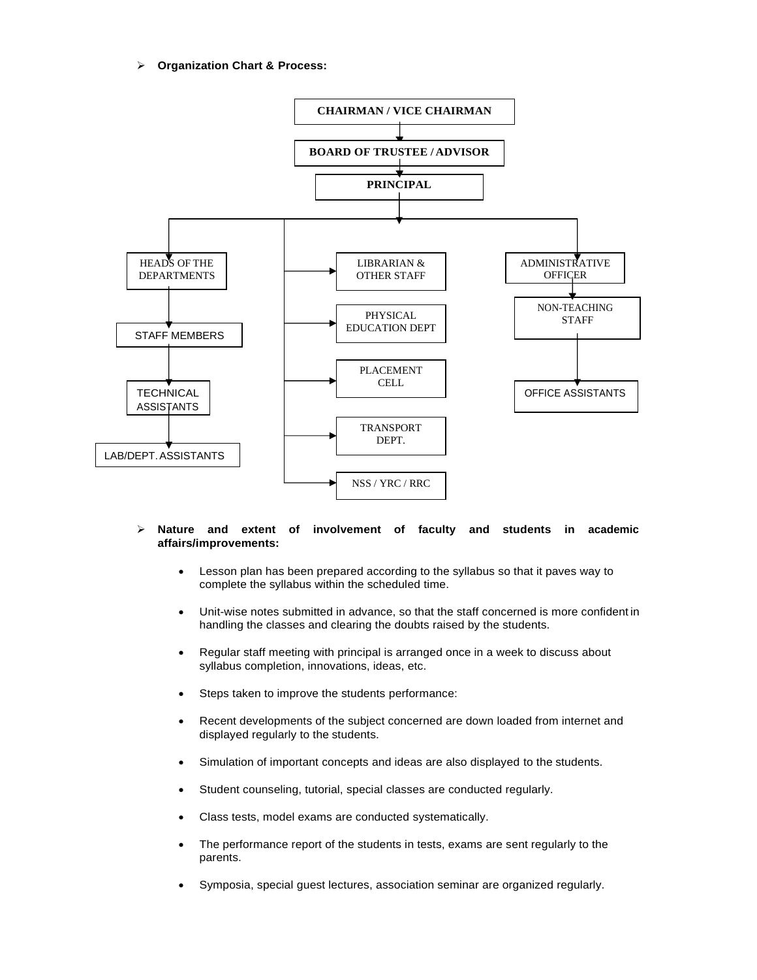➢ **Organization Chart & Process:**



## ➢ **Nature and extent of involvement of faculty and students in academic affairs/improvements:**

- Lesson plan has been prepared according to the syllabus so that it paves way to complete the syllabus within the scheduled time.
- Unit-wise notes submitted in advance, so that the staff concerned is more confident in handling the classes and clearing the doubts raised by the students.
- Regular staff meeting with principal is arranged once in a week to discuss about syllabus completion, innovations, ideas, etc.
- Steps taken to improve the students performance:
- Recent developments of the subject concerned are down loaded from internet and displayed regularly to the students.
- Simulation of important concepts and ideas are also displayed to the students.
- Student counseling, tutorial, special classes are conducted regularly.
- Class tests, model exams are conducted systematically.
- The performance report of the students in tests, exams are sent regularly to the parents.
- Symposia, special guest lectures, association seminar are organized regularly.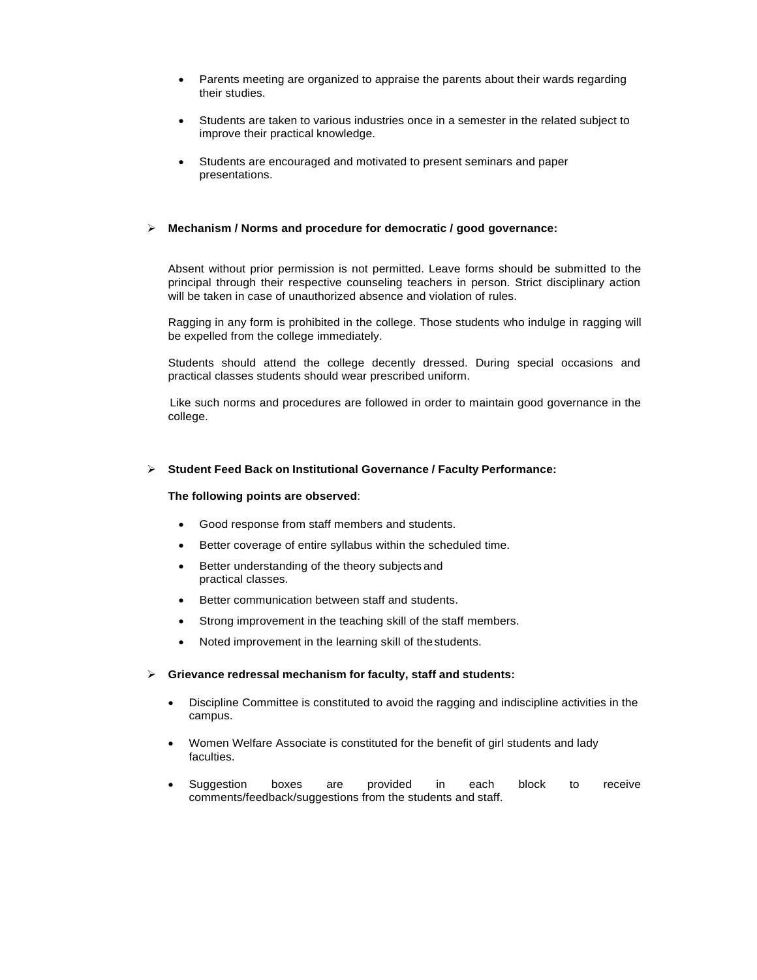- Parents meeting are organized to appraise the parents about their wards regarding their studies.
- Students are taken to various industries once in a semester in the related subject to improve their practical knowledge.
- Students are encouraged and motivated to present seminars and paper presentations.

## ➢ **Mechanism / Norms and procedure for democratic / good governance:**

Absent without prior permission is not permitted. Leave forms should be submitted to the principal through their respective counseling teachers in person. Strict disciplinary action will be taken in case of unauthorized absence and violation of rules.

Ragging in any form is prohibited in the college. Those students who indulge in ragging will be expelled from the college immediately.

Students should attend the college decently dressed. During special occasions and practical classes students should wear prescribed uniform.

Like such norms and procedures are followed in order to maintain good governance in the college.

#### ➢ **Student Feed Back on Institutional Governance / Faculty Performance:**

#### **The following points are observed**:

- Good response from staff members and students.
- Better coverage of entire syllabus within the scheduled time.
- Better understanding of the theory subjects and practical classes.
- Better communication between staff and students.
- Strong improvement in the teaching skill of the staff members.
- Noted improvement in the learning skill of the students.

## ➢ **Grievance redressal mechanism for faculty, staff and students:**

- Discipline Committee is constituted to avoid the ragging and indiscipline activities in the campus.
- Women Welfare Associate is constituted for the benefit of girl students and lady faculties.
- Suggestion boxes are provided in each block to receive comments/feedback/suggestions from the students and staff.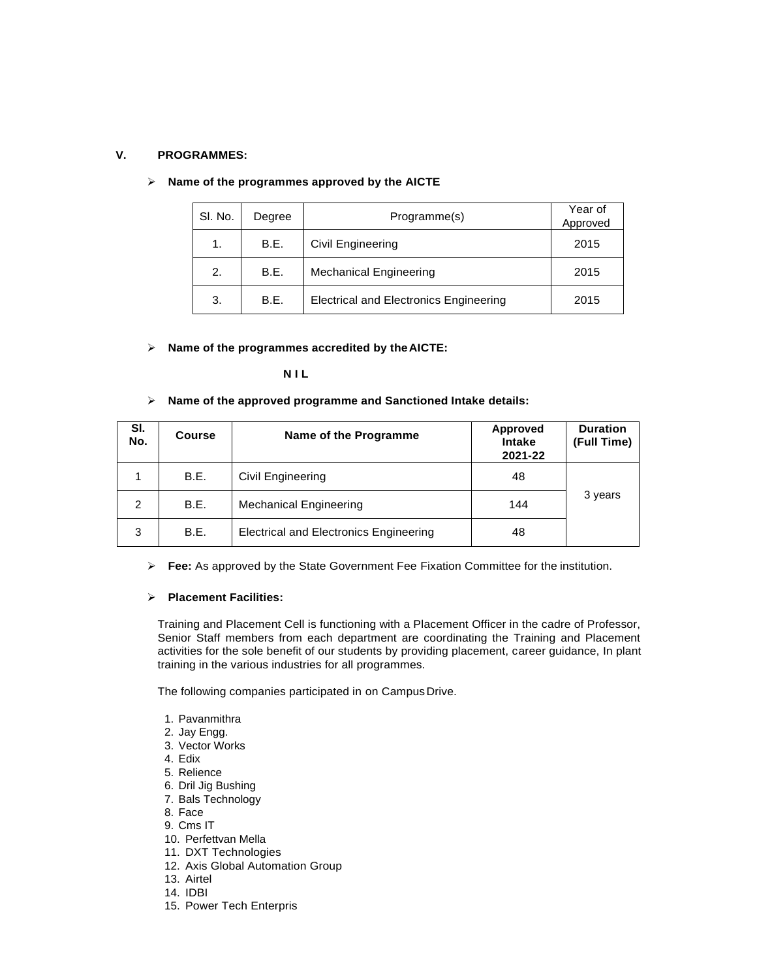#### **V. PROGRAMMES:**

| SI. No. | Degree | Programme(s)                                  | Year of<br>Approved |
|---------|--------|-----------------------------------------------|---------------------|
| 1.      | B.E.   | Civil Engineering                             | 2015                |
| 2.      | B.E.   | <b>Mechanical Engineering</b>                 | 2015                |
| 3.      | B.E.   | <b>Electrical and Electronics Engineering</b> | 2015                |

#### ➢ **Name of the programmes approved by the AICTE**

## ➢ **Name of the programmes accredited by theAICTE:**

## **N I L**

#### ➢ **Name of the approved programme and Sanctioned Intake details:**

| SI.<br>No. | Course | Name of the Programme                         | Approved<br><b>Intake</b><br>2021-22 | <b>Duration</b><br>(Full Time) |
|------------|--------|-----------------------------------------------|--------------------------------------|--------------------------------|
|            | B.E.   | Civil Engineering                             | 48                                   |                                |
| 2          | B.E.   | <b>Mechanical Engineering</b>                 | 144                                  | 3 years                        |
| 3          | B.E.   | <b>Electrical and Electronics Engineering</b> | 48                                   |                                |

➢ **Fee:** As approved by the State Government Fee Fixation Committee for the institution.

#### ➢ **Placement Facilities:**

Training and Placement Cell is functioning with a Placement Officer in the cadre of Professor, Senior Staff members from each department are coordinating the Training and Placement activities for the sole benefit of our students by providing placement, career guidance, In plant training in the various industries for all programmes.

The following companies participated in on Campus Drive.

- 1. Pavanmithra
- 2. Jay Engg.
- 3. Vector Works
- 4. Edix
- 5. Relience
- 6. Dril Jig Bushing
- 7. Bals Technology
- 8. Face
- 9. Cms IT
- 10. Perfettvan Mella
- 11. DXT Technologies
- 12. Axis Global Automation Group
- 13. Airtel
- 14. IDBI
- 15. Power Tech Enterpris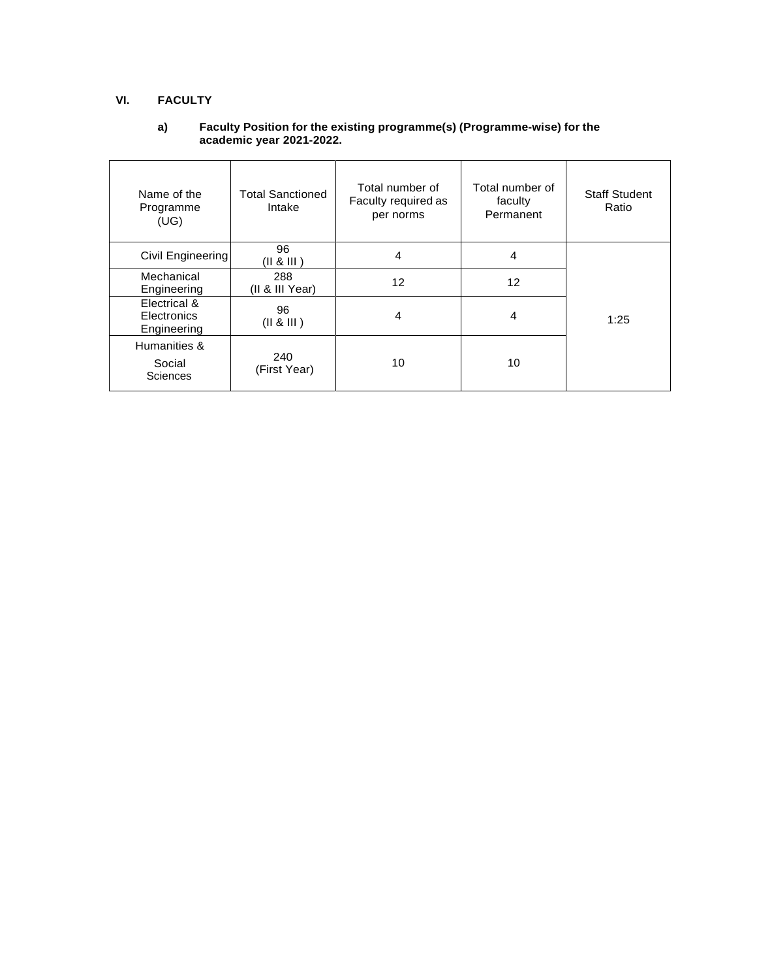# **VI. FACULTY**

## **a) Faculty Position for the existing programme(s) (Programme-wise) for the academic year 2021-2022.**

| Name of the<br>Programme<br>(UG)           | <b>Total Sanctioned</b><br>Intake | Total number of<br>Faculty required as<br>per norms | Total number of<br>faculty<br>Permanent | <b>Staff Student</b><br>Ratio |
|--------------------------------------------|-----------------------------------|-----------------------------------------------------|-----------------------------------------|-------------------------------|
| Civil Engineering                          | 96<br>(   8   )                   | 4                                                   | 4                                       |                               |
| Mechanical<br>Engineering                  | 288<br>(II & III Year)            | 12                                                  | $12 \,$                                 |                               |
| Electrical &<br>Electronics<br>Engineering | 96<br>(II & 8 II)                 | 4                                                   | 4                                       | 1:25                          |
| Humanities &<br>Social<br><b>Sciences</b>  | 240<br>(First Year)               | 10                                                  | 10                                      |                               |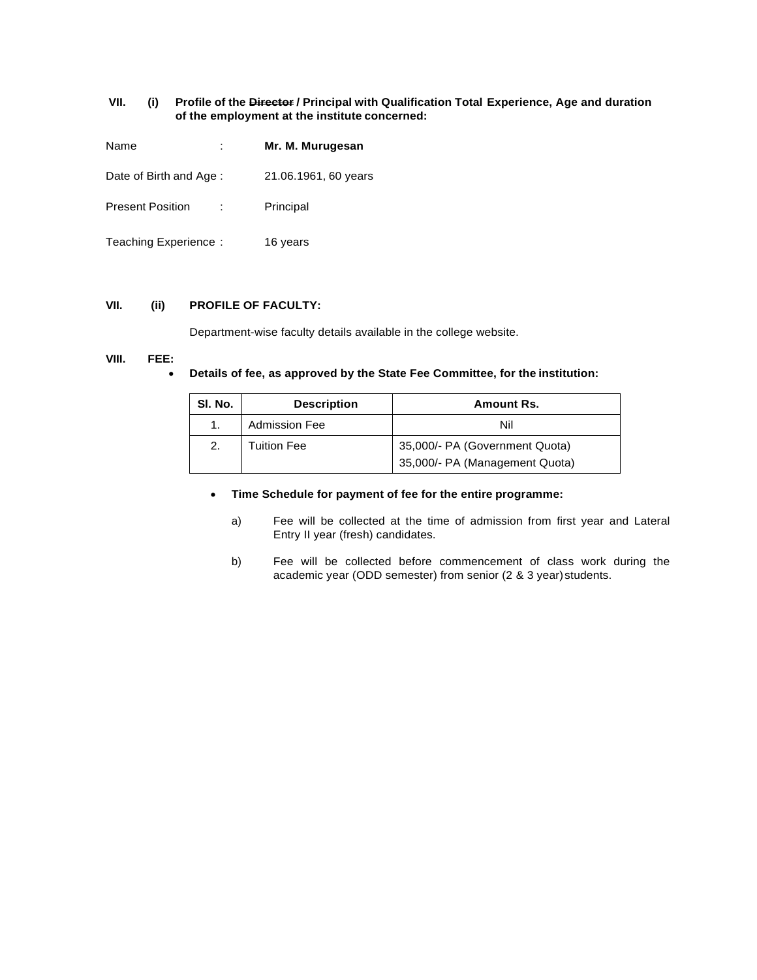## **VII. (i) Profile of the Director / Principal with Qualification Total Experience, Age and duration of the employment at the institute concerned:**

| Name                    | Mr. M. Murugesan     |
|-------------------------|----------------------|
| Date of Birth and Age:  | 21.06.1961, 60 years |
| <b>Present Position</b> | Principal            |
| Teaching Experience:    | 16 years             |

#### **VII. (ii) PROFILE OF FACULTY:**

Department-wise faculty details available in the college website.

## **VIII. FEE:**

#### • **Details of fee, as approved by the State Fee Committee, for the institution:**

| SI. No. | <b>Description</b>   | Amount Rs.                     |  |  |
|---------|----------------------|--------------------------------|--|--|
|         | <b>Admission Fee</b> | Nil                            |  |  |
| 2.      | Tuition Fee          | 35,000/- PA (Government Quota) |  |  |
|         |                      | 35,000/- PA (Management Quota) |  |  |

## • **Time Schedule for payment of fee for the entire programme:**

- a) Fee will be collected at the time of admission from first year and Lateral Entry II year (fresh) candidates.
- b) Fee will be collected before commencement of class work during the academic year (ODD semester) from senior (2 & 3 year)students.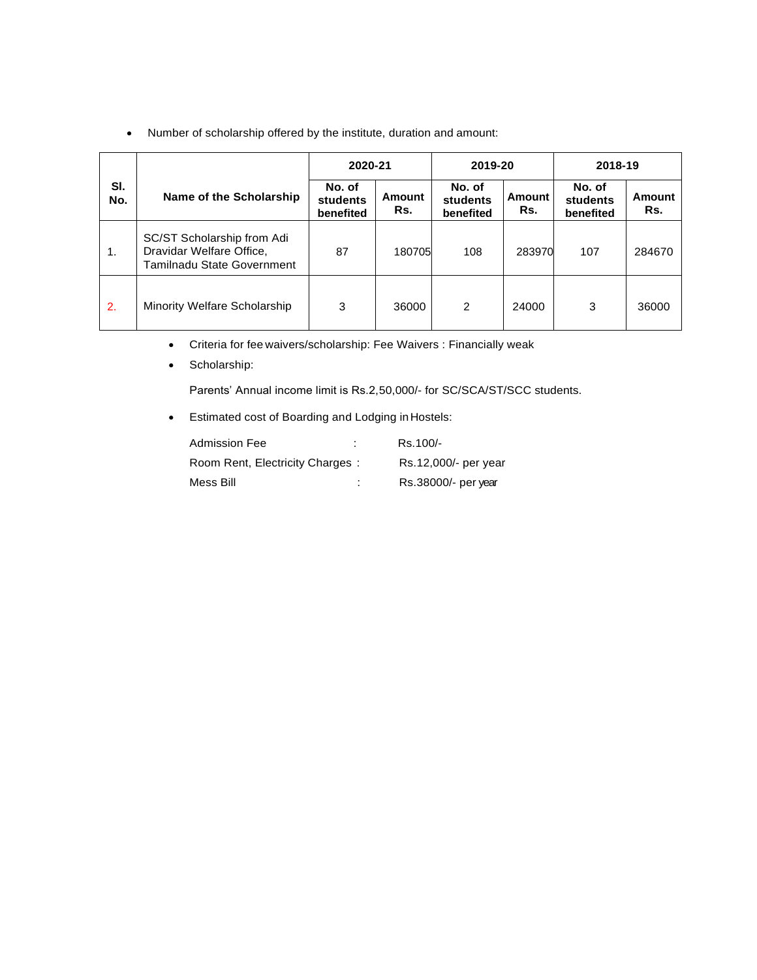• Number of scholarship offered by the institute, duration and amount:

|            |                                                                                      | 2020-21                                |               | 2019-20                         |               | 2018-19                         |               |
|------------|--------------------------------------------------------------------------------------|----------------------------------------|---------------|---------------------------------|---------------|---------------------------------|---------------|
| SI.<br>No. | Name of the Scholarship                                                              | No. of<br><b>students</b><br>benefited | Amount<br>Rs. | No. of<br>students<br>benefited | Amount<br>Rs. | No. of<br>students<br>benefited | Amount<br>Rs. |
| 1.         | SC/ST Scholarship from Adi<br>Dravidar Welfare Office,<br>Tamilnadu State Government | 87                                     | 180705        | 108                             | 283970        | 107                             | 284670        |
| 2.         | Minority Welfare Scholarship                                                         | 3                                      | 36000         | $\overline{2}$                  | 24000         | 3                               | 36000         |

- Criteria for fee waivers/scholarship: Fee Waivers : Financially weak
- Scholarship:

Parents' Annual income limit is Rs.2,50,000/- for SC/SCA/ST/SCC students.

• Estimated cost of Boarding and Lodging inHostels:

| <b>Admission Fee</b>            |   | Rs.100/-             |
|---------------------------------|---|----------------------|
| Room Rent, Electricity Charges: |   | Rs.12,000/- per year |
| Mess Bill                       | ÷ | Rs.38000/- per year  |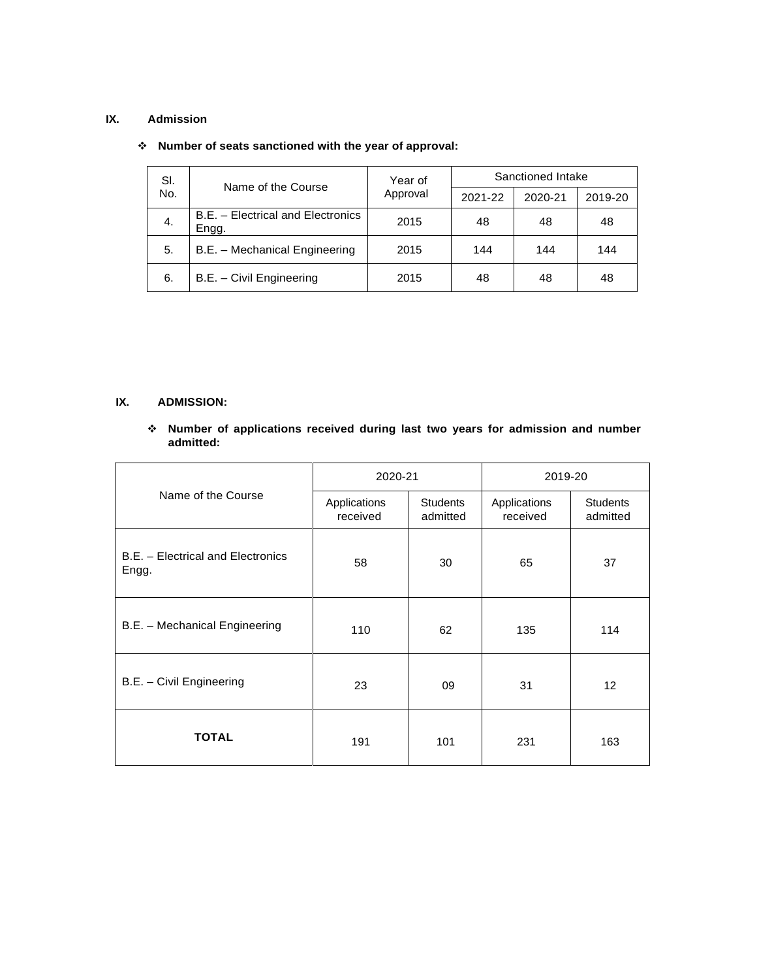## **IX. Admission**

| SI. | Name of the Course                         | Year of  | Sanctioned Intake |         |         |  |
|-----|--------------------------------------------|----------|-------------------|---------|---------|--|
| No. |                                            | Approval | 2021-22           | 2020-21 | 2019-20 |  |
| 4.  | B.E. - Electrical and Electronics<br>Engg. | 2015     | 48                | 48      | 48      |  |
| 5.  | B.E. - Mechanical Engineering              | 2015     | 144               | 144     | 144     |  |
| 6.  | B.E. - Civil Engineering                   | 2015     | 48                | 48      | 48      |  |

# ❖ **Number of seats sanctioned with the year of approval:**

# **IX. ADMISSION:**

## ❖ **Number of applications received during last two years for admission and number admitted:**

|                                            | 2020-21                  |                             | 2019-20                  |                             |  |
|--------------------------------------------|--------------------------|-----------------------------|--------------------------|-----------------------------|--|
| Name of the Course                         | Applications<br>received | <b>Students</b><br>admitted | Applications<br>received | <b>Students</b><br>admitted |  |
| B.E. - Electrical and Electronics<br>Engg. | 58                       | 30                          | 65                       | 37                          |  |
| B.E. - Mechanical Engineering              | 110                      | 62                          | 135                      | 114                         |  |
| B.E. - Civil Engineering                   | 23                       | 09                          | 31                       | $12 \overline{ }$           |  |
| <b>TOTAL</b>                               | 191                      | 101                         | 231                      | 163                         |  |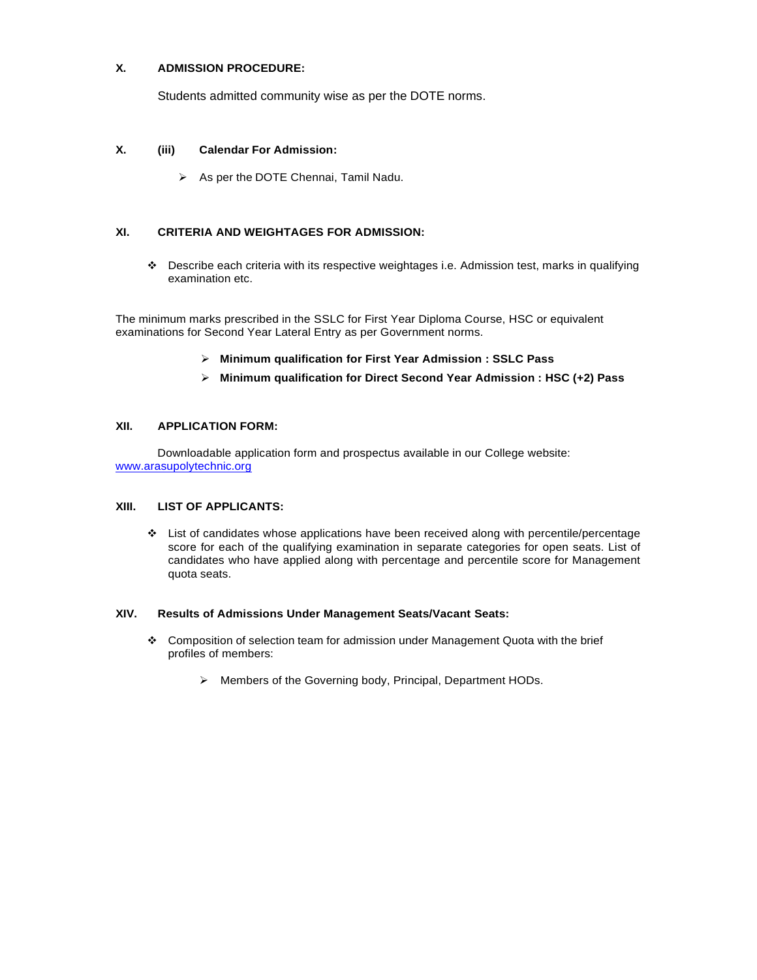# **X. ADMISSION PROCEDURE:**

Students admitted community wise as per the DOTE norms.

# **X. (iii) Calendar For Admission:**

➢ As per the DOTE Chennai, Tamil Nadu.

# **XI. CRITERIA AND WEIGHTAGES FOR ADMISSION:**

❖ Describe each criteria with its respective weightages i.e. Admission test, marks in qualifying examination etc.

The minimum marks prescribed in the SSLC for First Year Diploma Course, HSC or equivalent examinations for Second Year Lateral Entry as per Government norms.

- ➢ **Minimum qualification for First Year Admission : SSLC Pass**
- ➢ **Minimum qualification for Direct Second Year Admission : HSC (+2) Pass**

# **XII. APPLICATION FORM:**

Downloadable application form and prospectus available in our College website: [www.arasupolytechnic.org](http://www.arasupolytechnic.org/)

# **XIII. LIST OF APPLICANTS:**

❖ List of candidates whose applications have been received along with percentile/percentage score for each of the qualifying examination in separate categories for open seats. List of candidates who have applied along with percentage and percentile score for Management quota seats.

# **XIV. Results of Admissions Under Management Seats/Vacant Seats:**

- ❖ Composition of selection team for admission under Management Quota with the brief profiles of members:
	- ➢ Members of the Governing body, Principal, Department HODs.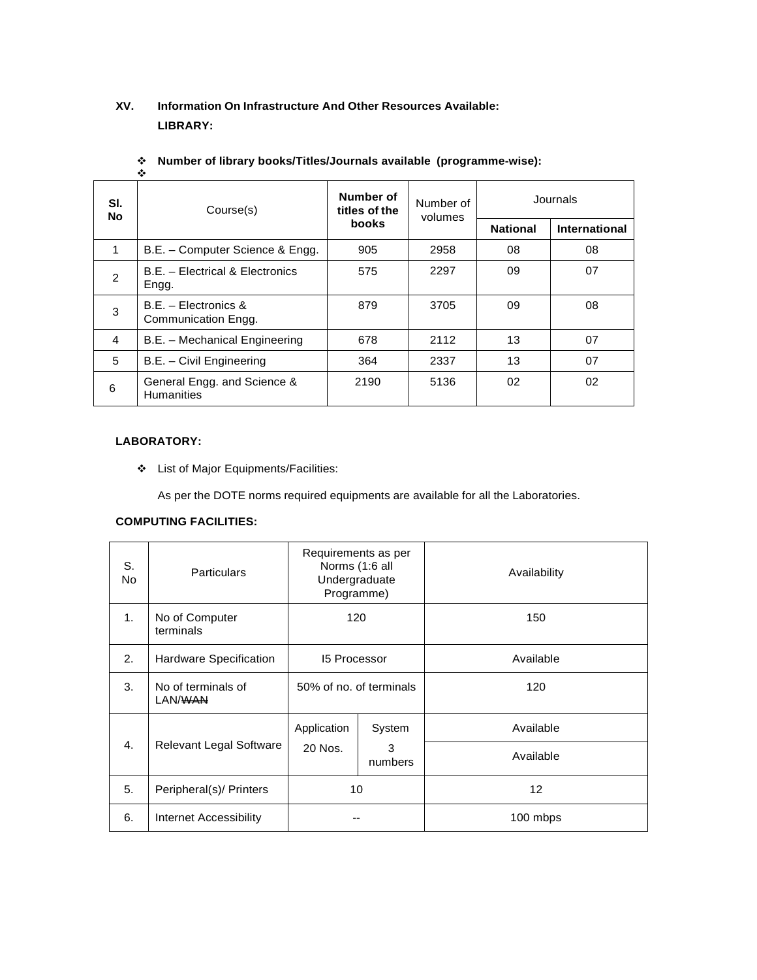# **XV. Information On Infrastructure And Other Resources Available: LIBRARY:**

|                | ❖                                                |                                            |                      |                 |               |
|----------------|--------------------------------------------------|--------------------------------------------|----------------------|-----------------|---------------|
| SI.<br>No      | Course(s)                                        | Number of<br>titles of the<br><b>books</b> | Number of<br>volumes | Journals        |               |
|                |                                                  |                                            |                      | <b>National</b> | International |
| 1              | B.E. - Computer Science & Engg.                  | 905                                        | 2958                 | 08              | 08            |
| $\mathfrak{p}$ | B.E. - Electrical & Electronics<br>Engg.         | 575                                        | 2297                 | 09              | 07            |
| 3              | $B.E. - Electronics &$<br>Communication Engg.    | 879                                        | 3705                 | 09              | 08            |
| 4              | B.E. - Mechanical Engineering                    | 678                                        | 2112                 | 13              | 07            |
| 5              | B.E. - Civil Engineering                         | 364                                        | 2337                 | 13              | 07            |
| 6              | General Engg. and Science &<br><b>Humanities</b> | 2190                                       | 5136                 | 02              | 02            |

# ❖ **Number of library books/Titles/Journals available (programme-wise):**

## **LABORATORY:**

❖ List of Major Equipments/Facilities:

As per the DOTE norms required equipments are available for all the Laboratories.

# **COMPUTING FACILITIES:**

| S.<br>No.      | <b>Particulars</b>                        | Requirements as per<br>Norms (1:6 all<br>Undergraduate<br>Programme) |              | Availability      |  |
|----------------|-------------------------------------------|----------------------------------------------------------------------|--------------|-------------------|--|
| 1 <sub>1</sub> | No of Computer<br>terminals               | 120                                                                  |              | 150               |  |
| 2.             | Hardware Specification                    | <b>15 Processor</b>                                                  |              | Available         |  |
| 3.             | No of terminals of<br>LAN/ <del>WAN</del> | 50% of no. of terminals                                              |              | 120               |  |
|                |                                           | Application                                                          | System       | Available         |  |
| 4.             | <b>Relevant Legal Software</b>            | 20 Nos.                                                              | 3<br>numbers | Available         |  |
| 5.             | Peripheral(s)/ Printers                   | 10                                                                   |              | $12 \overline{ }$ |  |
| 6.             | Internet Accessibility                    |                                                                      |              | 100 mbps          |  |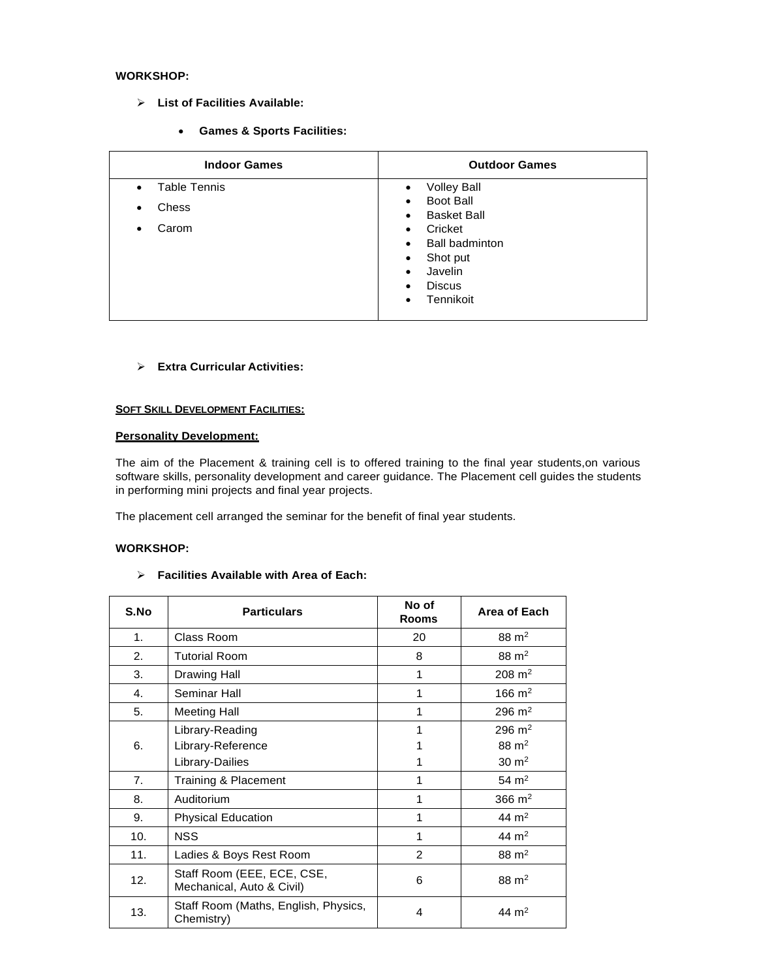# **WORKSHOP:**

- ➢ **List of Facilities Available:**
	- **Games & Sports Facilities:**

| <b>Indoor Games</b>              | <b>Outdoor Games</b>                                                                                                                                                                                                     |
|----------------------------------|--------------------------------------------------------------------------------------------------------------------------------------------------------------------------------------------------------------------------|
| <b>Table Tennis</b><br>$\bullet$ | <b>Volley Ball</b><br>$\bullet$                                                                                                                                                                                          |
| Chess<br>٠<br>Carom<br>٠         | Boot Ball<br>$\bullet$<br><b>Basket Ball</b><br>$\bullet$<br>Cricket<br>$\bullet$<br><b>Ball badminton</b><br>$\bullet$<br>Shot put<br>$\bullet$<br>Javelin<br>$\bullet$<br><b>Discus</b><br>٠<br>Tennikoit<br>$\bullet$ |

## ➢ **Extra Curricular Activities:**

## **SOFT SKILL DEVELOPMENT FACILITIES:**

## **Personality Development:**

The aim of the Placement & training cell is to offered training to the final year students,on various software skills, personality development and career guidance. The Placement cell guides the students in performing mini projects and final year projects.

The placement cell arranged the seminar for the benefit of final year students.

#### **WORKSHOP:**

#### ➢ **Facilities Available with Area of Each:**

| S.No           | <b>Particulars</b>                                      | No of<br><b>Rooms</b> | Area of Each        |
|----------------|---------------------------------------------------------|-----------------------|---------------------|
| 1.             | Class Room                                              | 20                    | $88 \text{ m}^2$    |
| 2.             | <b>Tutorial Room</b>                                    | 8                     | $88 \text{ m}^2$    |
| 3.             | <b>Drawing Hall</b>                                     | 1                     | $208 \text{ m}^2$   |
| 4.             | Seminar Hall                                            | 1                     | $166 \; \text{m}^2$ |
| 5.             | <b>Meeting Hall</b>                                     | 1                     | $296 \text{ m}^2$   |
|                | Library-Reading                                         | 1                     | $296 \text{ m}^2$   |
| 6.             | Library-Reference                                       |                       | $88 \text{ m}^2$    |
|                | Library-Dailies                                         |                       | $30 \text{ m}^2$    |
| 7 <sub>1</sub> | Training & Placement                                    | 1                     | $54 \text{ m}^2$    |
| 8.             | Auditorium                                              | 1                     | 366 $m2$            |
| 9.             | <b>Physical Education</b>                               | 1                     | 44 $m2$             |
| 10.            | <b>NSS</b>                                              | 1                     | 44 $m2$             |
| 11.            | Ladies & Boys Rest Room                                 | $\overline{2}$        | $88 \text{ m}^2$    |
| 12.            | Staff Room (EEE, ECE, CSE,<br>Mechanical, Auto & Civil) | 6                     | $88 \text{ m}^2$    |
| 13.            | Staff Room (Maths, English, Physics,<br>Chemistry)      | 4                     | 44 m <sup>2</sup>   |